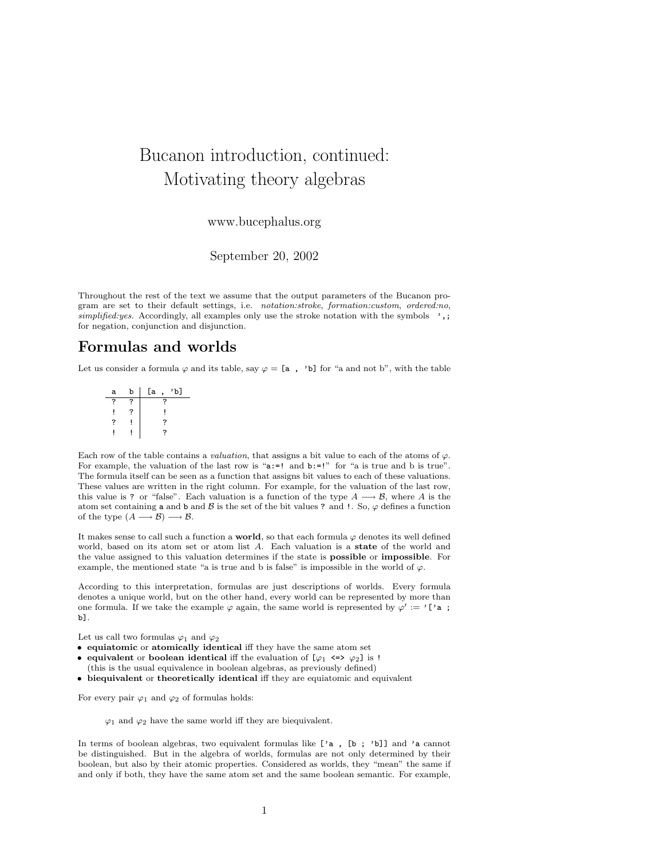# Bucanon introduction, continued: Motivating theory algebras

www.bucephalus.org

September 20, 2002

Throughout the rest of the text we assume that the output parameters of the Bucanon program are set to their default settings, i.e. notation:stroke, formation:custom, ordered:no, simplified:yes. Accordingly, all examples only use the stroke notation with the symbols  $\cdot$ ,; for negation, conjunction and disjunction.

### Formulas and worlds

Let us consider a formula  $\varphi$  and its table, say  $\varphi = [a, \cdot b]$  for "a and not b", with the table

| a | b | [a<br>'b] |
|---|---|-----------|
| ? |   | 7         |
|   | 7 |           |
| ? |   | ?         |
|   |   | 7         |

Each row of the table contains a *valuation*, that assigns a bit value to each of the atoms of  $\varphi$ . For example, the valuation of the last row is "a:=! and  $b:=$ !" for "a is true and b is true". The formula itself can be seen as a function that assigns bit values to each of these valuations. These values are written in the right column. For example, for the valuation of the last row, this value is ? or "false". Each valuation is a function of the type  $A \longrightarrow B$ , where A is the atom set containing a and b and B is the set of the bit values ? and !. So,  $\varphi$  defines a function of the type  $(A \rightarrow \mathcal{B}) \rightarrow \mathcal{B}$ .

It makes sense to call such a function a **world**, so that each formula  $\varphi$  denotes its well defined world, based on its atom set or atom list A. Each valuation is a state of the world and the value assigned to this valuation determines if the state is possible or impossible. For example, the mentioned state "a is true and b is false" is impossible in the world of  $\varphi$ .

According to this interpretation, formulas are just descriptions of worlds. Every formula denotes a unique world, but on the other hand, every world can be represented by more than one formula. If we take the example  $\varphi$  again, the same world is represented by  $\varphi' := \{ 'a \; ; \;$ b].

Let us call two formulas  $\varphi_1$  and  $\varphi_2$ 

- equiatomic or atomically identical iff they have the same atom set
- equivalent or boolean identical iff the evaluation of  $[\varphi_1 \iff \varphi_2]$  is !
- (this is the usual equivalence in boolean algebras, as previously defined)
- biequivalent or theoretically identical iff they are equiatomic and equivalent

For every pair  $\varphi_1$  and  $\varphi_2$  of formulas holds:

 $\varphi_1$  and  $\varphi_2$  have the same world iff they are biequivalent.

In terms of boolean algebras, two equivalent formulas like ['a , [b ; 'b]] and 'a cannot be distinguished. But in the algebra of worlds, formulas are not only determined by their boolean, but also by their atomic properties. Considered as worlds, they "mean" the same if and only if both, they have the same atom set and the same boolean semantic. For example,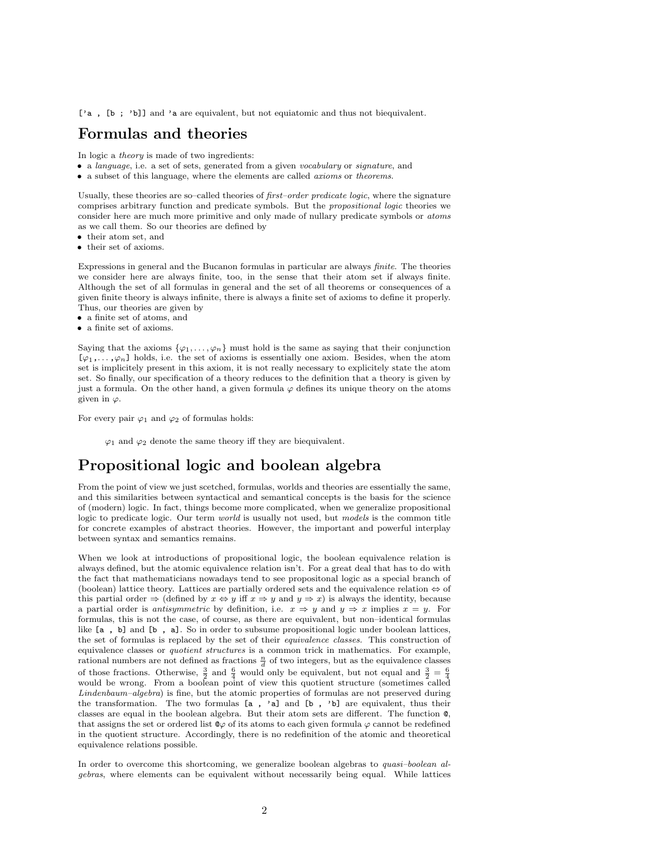['a , [b ; 'b]] and 'a are equivalent, but not equiatomic and thus not biequivalent.

#### Formulas and theories

In logic a theory is made of two ingredients:

- a language, i.e. a set of sets, generated from a given vocabulary or signature, and
- a subset of this language, where the elements are called axioms or theorems.

Usually, these theories are so–called theories of first–order predicate logic, where the signature comprises arbitrary function and predicate symbols. But the propositional logic theories we consider here are much more primitive and only made of nullary predicate symbols or atoms as we call them. So our theories are defined by

- their atom set, and
- their set of axioms.

Expressions in general and the Bucanon formulas in particular are always finite. The theories we consider here are always finite, too, in the sense that their atom set if always finite. Although the set of all formulas in general and the set of all theorems or consequences of a given finite theory is always infinite, there is always a finite set of axioms to define it properly. Thus, our theories are given by

- a finite set of atoms, and
- a finite set of axioms.

Saying that the axioms  $\{\varphi_1, \ldots, \varphi_n\}$  must hold is the same as saying that their conjunction  $[\varphi_1,\ldots,\varphi_n]$  holds, i.e. the set of axioms is essentially one axiom. Besides, when the atom set is implicitely present in this axiom, it is not really necessary to explicitely state the atom set. So finally, our specification of a theory reduces to the definition that a theory is given by just a formula. On the other hand, a given formula  $\varphi$  defines its unique theory on the atoms given in  $\varphi$ .

For every pair  $\varphi_1$  and  $\varphi_2$  of formulas holds:

 $\varphi_1$  and  $\varphi_2$  denote the same theory iff they are biequivalent.

## Propositional logic and boolean algebra

From the point of view we just scetched, formulas, worlds and theories are essentially the same, and this similarities between syntactical and semantical concepts is the basis for the science of (modern) logic. In fact, things become more complicated, when we generalize propositional logic to predicate logic. Our term *world* is usually not used, but *models* is the common title for concrete examples of abstract theories. However, the important and powerful interplay between syntax and semantics remains.

When we look at introductions of propositional logic, the boolean equivalence relation is always defined, but the atomic equivalence relation isn't. For a great deal that has to do with the fact that mathematicians nowadays tend to see propositonal logic as a special branch of (boolean) lattice theory. Lattices are partially ordered sets and the equivalence relation  $\Leftrightarrow$  of this partial order  $\Rightarrow$  (defined by  $x \Leftrightarrow y$  iff  $x \Rightarrow y$  and  $y \Rightarrow x$ ) is always the identity, because a partial order is antisymmetric by definition, i.e.  $x \Rightarrow y$  and  $y \Rightarrow x$  implies  $x = y$ . For formulas, this is not the case, of course, as there are equivalent, but non–identical formulas like [a , b] and [b , a]. So in order to subsume propositional logic under boolean lattices, the set of formulas is replaced by the set of their equivalence classes. This construction of equivalence classes or quotient structures is a common trick in mathematics. For example, rational numbers are not defined as fractions  $\frac{n}{d}$  of two integers, but as the equivalence classes of those fractions. Otherwise,  $\frac{3}{2}$  and  $\frac{6}{4}$  would only be equivalent, but not equal and  $\frac{3}{2} = \frac{6}{4}$ would be wrong. From a boolean point of view this quotient structure (sometimes called Lindenbaum–algebra) is fine, but the atomic properties of formulas are not preserved during the transformation. The two formulas [a , 'a] and [b , 'b] are equivalent, thus their classes are equal in the boolean algebra. But their atom sets are different. The function @, that assigns the set or ordered list  $\mathbb{Q} \varphi$  of its atoms to each given formula  $\varphi$  cannot be redefined in the quotient structure. Accordingly, there is no redefinition of the atomic and theoretical equivalence relations possible.

In order to overcome this shortcoming, we generalize boolean algebras to quasi-boolean algebras, where elements can be equivalent without necessarily being equal. While lattices